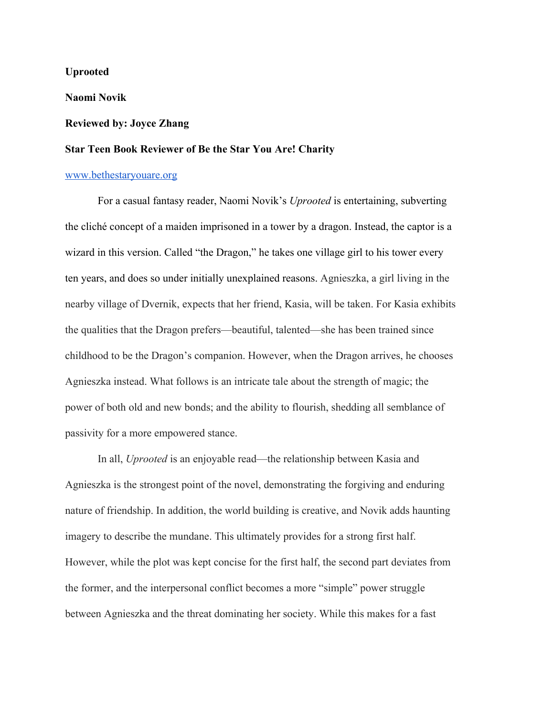**Uprooted**

**Naomi Novik**

## **Reviewed by: Joyce Zhang**

## **Star Teen Book Reviewer of Be the Star You Are! Charity**

## [www.bethestaryouare.org](http://www.bethestaryouare.org/)

For a casual fantasy reader, Naomi Novik's *Uprooted* is entertaining, subverting the cliché concept of a maiden imprisoned in a tower by a dragon. Instead, the captor is a wizard in this version. Called "the Dragon," he takes one village girl to his tower every ten years, and does so under initially unexplained reasons. Agnieszka, a girl living in the nearby village of Dvernik, expects that her friend, Kasia, will be taken. For Kasia exhibits the qualities that the Dragon prefers—beautiful, talented—she has been trained since childhood to be the Dragon's companion. However, when the Dragon arrives, he chooses Agnieszka instead. What follows is an intricate tale about the strength of magic; the power of both old and new bonds; and the ability to flourish, shedding all semblance of passivity for a more empowered stance.

In all, *Uprooted* is an enjoyable read—the relationship between Kasia and Agnieszka is the strongest point of the novel, demonstrating the forgiving and enduring nature of friendship. In addition, the world building is creative, and Novik adds haunting imagery to describe the mundane. This ultimately provides for a strong first half. However, while the plot was kept concise for the first half, the second part deviates from the former, and the interpersonal conflict becomes a more "simple" power struggle between Agnieszka and the threat dominating her society. While this makes for a fast